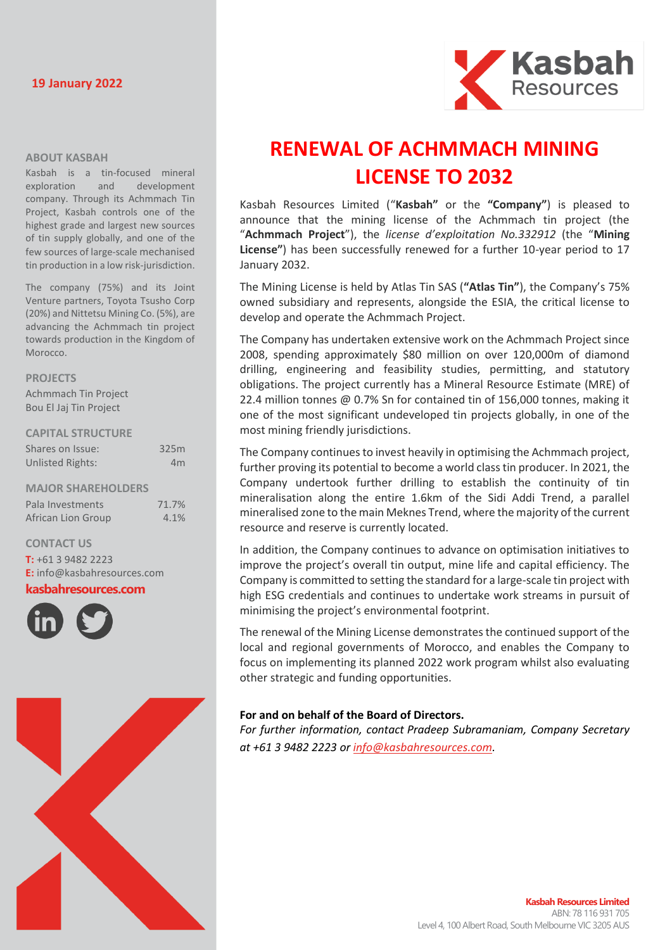## **19 January 2022**



#### **ABOUT KASBAH**

Kasbah is a tin-focused mineral exploration and development company. Through its Achmmach Tin Project, Kasbah controls one of the highest grade and largest new sources of tin supply globally, and one of the few sources of large-scale mechanised tin production in a low risk-jurisdiction.

The company (75%) and its Joint Venture partners, Toyota Tsusho Corp (20%) and Nittetsu Mining Co. (5%), are advancing the Achmmach tin project towards production in the Kingdom of Morocco.

#### **PROJECTS**

Achmmach Tin Project Bou El Jaj Tin Project

#### **CAPITAL STRUCTURE**

| Shares on Issue:          | 325m           |
|---------------------------|----------------|
| <b>Unlisted Rights:</b>   | 4 <sub>m</sub> |
|                           |                |
| <b>MAJOR SHAREHOLDERS</b> |                |
| Pala Investments          | 71.7%          |
| African Lion Group        | 4.1%           |

**CONTACT US T:** +61 3 9482 2223

**E:** [info@kasbahresources.com](mailto:info@kasbahresources.com) **kasbahresources.com**





# **RENEWAL OF ACHMMACH MINING LICENSE TO 2032**

Kasbah Resources Limited ("**Kasbah"** or the **"Company"**) is pleased to announce that the mining license of the Achmmach tin project (the "**Achmmach Project**"), the *license d'exploitation No.332912* (the "**Mining License"**) has been successfully renewed for a further 10-year period to 17 January 2032.

The Mining License is held by Atlas Tin SAS (**"Atlas Tin"**), the Company's 75% owned subsidiary and represents, alongside the ESIA, the critical license to develop and operate the Achmmach Project.

The Company has undertaken extensive work on the Achmmach Project since 2008, spending approximately \$80 million on over 120,000m of diamond drilling, engineering and feasibility studies, permitting, and statutory obligations. The project currently has a Mineral Resource Estimate (MRE) of 22.4 million tonnes @ 0.7% Sn for contained tin of 156,000 tonnes, making it one of the most significant undeveloped tin projects globally, in one of the most mining friendly jurisdictions.

The Company continues to invest heavily in optimising the Achmmach project, further proving its potential to become a world class tin producer. In 2021, the Company undertook further drilling to establish the continuity of tin mineralisation along the entire 1.6km of the Sidi Addi Trend, a parallel mineralised zone to the main Meknes Trend, where the majority of the current resource and reserve is currently located.

In addition, the Company continues to advance on optimisation initiatives to improve the project's overall tin output, mine life and capital efficiency. The Company is committed to setting the standard for a large-scale tin project with high ESG credentials and continues to undertake work streams in pursuit of minimising the project's environmental footprint.

The renewal of the Mining License demonstrates the continued support of the local and regional governments of Morocco, and enables the Company to focus on implementing its planned 2022 work program whilst also evaluating other strategic and funding opportunities.

## **For and on behalf of the Board of Directors.**

*For further information, contact Pradeep Subramaniam, Company Secretary at +61 3 9482 2223 or [info@kasbahresources.com.](mailto:info@kasbahresources.com)*